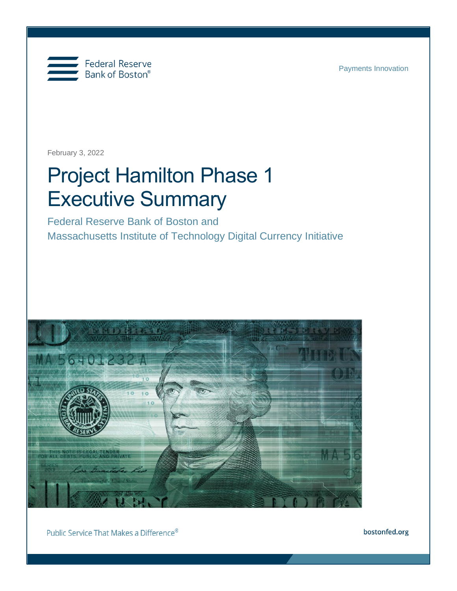

Payments Innovation

February 3, 2022

# Project Hamilton Phase 1 Executive Summary

Federal Reserve Bank of Boston and Massachusetts Institute of Technology Digital Currency Initiative



Public Service That Makes a Difference®

bostonfed.org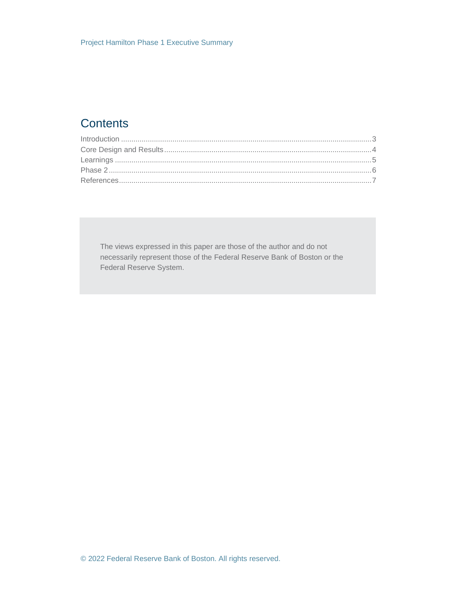# **Contents**

The views expressed in this paper are those of the author and do not necessarily represent those of the Federal Reserve Bank of Boston or the Federal Reserve System.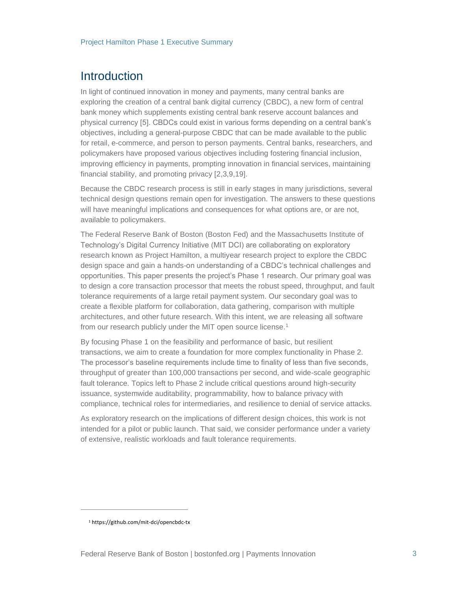## Introduction

In light of continued innovation in money and payments, many central banks are exploring the creation of a central bank digital currency (CBDC), a new form of central bank money which supplements existing central bank reserve account balances and physical currency [5]. CBDCs could exist in various forms depending on a central bank's objectives, including a general-purpose CBDC that can be made available to the public for retail, e-commerce, and person to person payments. Central banks, researchers, and policymakers have proposed various objectives including fostering financial inclusion, improving efficiency in payments, prompting innovation in financial services, maintaining financial stability, and promoting privacy [2,3,9,19].

Because the CBDC research process is still in early stages in many jurisdictions, several technical design questions remain open for investigation. The answers to these questions will have meaningful implications and consequences for what options are, or are not, available to policymakers.

The Federal Reserve Bank of Boston (Boston Fed) and the Massachusetts Institute of Technology's Digital Currency Initiative (MIT DCI) are collaborating on exploratory research known as Project Hamilton, a multiyear research project to explore the CBDC design space and gain a hands-on understanding of a CBDC's technical challenges and opportunities. This paper presents the project's Phase 1 research. Our primary goal was to design a core transaction processor that meets the robust speed, throughput, and fault tolerance requirements of a large retail payment system. Our secondary goal was to create a flexible platform for collaboration, data gathering, comparison with multiple architectures, and other future research. With this intent, we are releasing all software from our research publicly under the MIT open source license.<sup>1</sup>

By focusing Phase 1 on the feasibility and performance of basic, but resilient transactions, we aim to create a foundation for more complex functionality in Phase 2. The processor's baseline requirements include time to finality of less than five seconds, throughput of greater than 100,000 transactions per second, and wide-scale geographic fault tolerance. Topics left to Phase 2 include critical questions around high-security issuance, systemwide auditability, programmability, how to balance privacy with compliance, technical roles for intermediaries, and resilience to denial of service attacks.

As exploratory research on the implications of different design choices, this work is not intended for a pilot or public launch. That said, we consider performance under a variety of extensive, realistic workloads and fault tolerance requirements.

<sup>1</sup> <https://github.com/mit-dci/opencbdc-tx>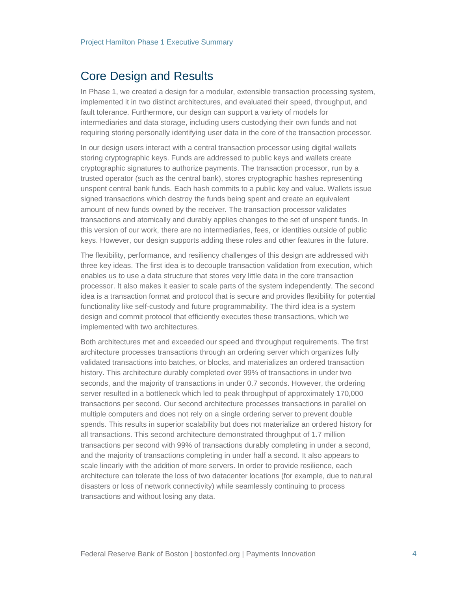#### Core Design and Results

In Phase 1, we created a design for a modular, extensible transaction processing system, implemented it in two distinct architectures, and evaluated their speed, throughput, and fault tolerance. Furthermore, our design can support a variety of models for intermediaries and data storage, including users custodying their own funds and not requiring storing personally identifying user data in the core of the transaction processor.

In our design users interact with a central transaction processor using digital wallets storing cryptographic keys. Funds are addressed to public keys and wallets create cryptographic signatures to authorize payments. The transaction processor, run by a trusted operator (such as the central bank), stores cryptographic hashes representing unspent central bank funds. Each hash commits to a public key and value. Wallets issue signed transactions which destroy the funds being spent and create an equivalent amount of new funds owned by the receiver. The transaction processor validates transactions and atomically and durably applies changes to the set of unspent funds. In this version of our work, there are no intermediaries, fees, or identities outside of public keys. However, our design supports adding these roles and other features in the future.

The flexibility, performance, and resiliency challenges of this design are addressed with three key ideas. The first idea is to decouple transaction validation from execution, which enables us to use a data structure that stores very little data in the core transaction processor. It also makes it easier to scale parts of the system independently. The second idea is a transaction format and protocol that is secure and provides flexibility for potential functionality like self-custody and future programmability. The third idea is a system design and commit protocol that efficiently executes these transactions, which we implemented with two architectures.

Both architectures met and exceeded our speed and throughput requirements. The first architecture processes transactions through an ordering server which organizes fully validated transactions into batches, or blocks, and materializes an ordered transaction history. This architecture durably completed over 99% of transactions in under two seconds, and the majority of transactions in under 0.7 seconds. However, the ordering server resulted in a bottleneck which led to peak throughput of approximately 170,000 transactions per second. Our second architecture processes transactions in parallel on multiple computers and does not rely on a single ordering server to prevent double spends. This results in superior scalability but does not materialize an ordered history for all transactions. This second architecture demonstrated throughput of 1.7 million transactions per second with 99% of transactions durably completing in under a second, and the majority of transactions completing in under half a second. It also appears to scale linearly with the addition of more servers. In order to provide resilience, each architecture can tolerate the loss of two datacenter locations (for example, due to natural disasters or loss of network connectivity) while seamlessly continuing to process transactions and without losing any data.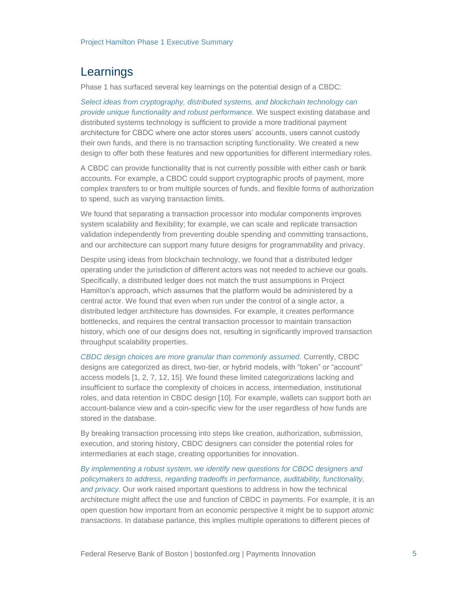## Learnings

Phase 1 has surfaced several key learnings on the potential design of a CBDC:

*Select ideas from cryptography, distributed systems, and blockchain technology can provide unique functionality and robust performance.* We suspect existing database and distributed systems technology is sufficient to provide a more traditional payment architecture for CBDC where one actor stores users' accounts, users cannot custody their own funds, and there is no transaction scripting functionality. We created a new design to offer both these features and new opportunities for different intermediary roles.

A CBDC can provide functionality that is not currently possible with either cash or bank accounts. For example, a CBDC could support cryptographic proofs of payment, more complex transfers to or from multiple sources of funds, and flexible forms of authorization to spend, such as varying transaction limits.

We found that separating a transaction processor into modular components improves system scalability and flexibility; for example, we can scale and replicate transaction validation independently from preventing double spending and committing transactions, and our architecture can support many future designs for programmability and privacy.

Despite using ideas from blockchain technology, we found that a distributed ledger operating under the jurisdiction of different actors was not needed to achieve our goals. Specifically, a distributed ledger does not match the trust assumptions in Project Hamilton's approach, which assumes that the platform would be administered by a central actor. We found that even when run under the control of a single actor, a distributed ledger architecture has downsides. For example, it creates performance bottlenecks, and requires the central transaction processor to maintain transaction history, which one of our designs does not, resulting in significantly improved transaction throughput scalability properties.

*CBDC design choices are more granular than commonly assumed.* Currently, CBDC designs are categorized as direct, two-tier, or hybrid models, with "token" or "account" access models [1, 2, 7, 12, 15]. We found these limited categorizations lacking and insufficient to surface the complexity of choices in access, intermediation, institutional roles, and data retention in CBDC design [10]. For example, wallets can support both an account-balance view and a coin-specific view for the user regardless of how funds are stored in the database.

By breaking transaction processing into steps like creation, authorization, submission, execution, and storing history, CBDC designers can consider the potential roles for intermediaries at each stage, creating opportunities for innovation.

*By implementing a robust system, we identify new questions for CBDC designers and policymakers to address, regarding tradeoffs in performance, auditability, functionality, and privacy.* Our work raised important questions to address in how the technical architecture might affect the use and function of CBDC in payments. For example, it is an open question how important from an economic perspective it might be to support *atomic transactions*. In database parlance, this implies multiple operations to different pieces of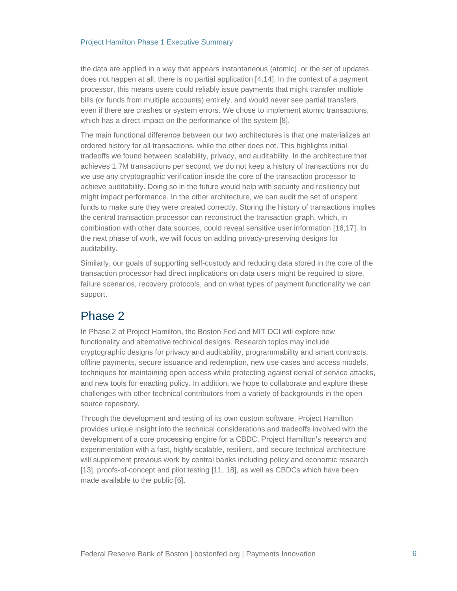#### Project Hamilton Phase 1 Executive Summary

the data are applied in a way that appears instantaneous (atomic), or the set of updates does not happen at all; there is no partial application [4,14]. In the context of a payment processor, this means users could reliably issue payments that might transfer multiple bills (or funds from multiple accounts) entirely, and would never see partial transfers, even if there are crashes or system errors. We chose to implement atomic transactions, which has a direct impact on the performance of the system [8].

The main functional difference between our two architectures is that one materializes an ordered history for all transactions, while the other does not. This highlights initial tradeoffs we found between scalability, privacy, and auditability. In the architecture that achieves 1.7M transactions per second, we do not keep a history of transactions nor do we use any cryptographic verification inside the core of the transaction processor to achieve auditability. Doing so in the future would help with security and resiliency but might impact performance. In the other architecture, we can audit the set of unspent funds to make sure they were created correctly. Storing the history of transactions implies the central transaction processor can reconstruct the transaction graph, which, in combination with other data sources, could reveal sensitive user information [16,17]. In the next phase of work, we will focus on adding privacy-preserving designs for auditability.

Similarly, our goals of supporting self-custody and reducing data stored in the core of the transaction processor had direct implications on data users might be required to store, failure scenarios, recovery protocols, and on what types of payment functionality we can support.

#### Phase 2

In Phase 2 of Project Hamilton, the Boston Fed and MIT DCI will explore new functionality and alternative technical designs. Research topics may include cryptographic designs for privacy and auditability, programmability and smart contracts, offline payments, secure issuance and redemption, new use cases and access models, techniques for maintaining open access while protecting against denial of service attacks, and new tools for enacting policy. In addition, we hope to collaborate and explore these challenges with other technical contributors from a variety of backgrounds in the open source repository.

Through the development and testing of its own custom software, Project Hamilton provides unique insight into the technical considerations and tradeoffs involved with the development of a core processing engine for a CBDC. Project Hamilton's research and experimentation with a fast, highly scalable, resilient, and secure technical architecture will supplement previous work by central banks including policy and economic research [13], proofs-of-concept and pilot testing [11, 18], as well as CBDCs which have been made available to the public [6].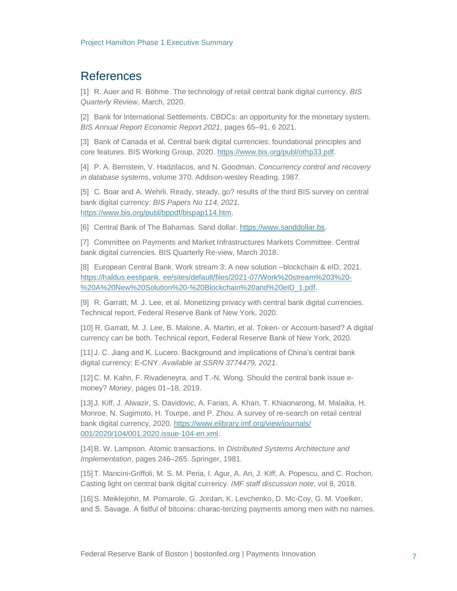### **References**

[1] R. Auer and R. Böhme. The technology of retail central bank digital currency. *BIS Quarterly Review*, March, 2020.

[2] Bank for International Settlements. CBDCs: an opportunity for the monetary system. *BIS Annual Report Economic Report 2021*, pages 65–91, 6 2021.

[3] Bank of Canada et al. Central bank digital currencies: foundational principles and core features. BIS Working Group, 2020. [https://www.bis.org/publ/othp33.pdf.](https://www.bis.org/publ/othp33.pdf)

[4] P. A. Bernstein, V. Hadzilacos, and N. Goodman. *Concurrency control and recovery in database systems*, volume 370. Addison-wesley Reading, 1987.

[5] C. Boar and A. Wehrli. Ready, steady, go? results of the third BIS survey on central bank digital currency. *BIS Papers No 114, 2021*. [https://www.bis.org/publ/bppdf/bispap114.htm.](https://www.bis.org/publ/bppdf/bispap114.htm)

[6] Central Bank of The Bahamas. Sand dollar. [https://www.sanddollar.bs.](https://www.sanddollar.bs/)

[7] Committee on Payments and Market Infrastructures Markets Committee. Central bank digital currencies. BIS Quarterly Re-view, March 2018.

[8] European Central Bank. Work stream 3: A new solution –blockchain & eID, 2021. https://haldus.eestipank. ee/sites/default/files/2021-07/Work%20stream%203%20- %20A%20New%20Solution%20-%20Blockchain%20and%20eID\_1.pdf.

[9] R. Garratt, M. J. Lee, et al. Monetizing privacy with central bank digital currencies. Technical report, Federal Reserve Bank of New York, 2020.

[10] R. Garratt, M. J. Lee, B. Malone, A. Martin, et al. Token- or Account-based? A digital currency can be both. Technical report, Federal Reserve Bank of New York, 2020.

[11] J. C. Jiang and K. Lucero. Background and implications of China's central bank digital currency: E-CNY. *Available at SSRN 3774479, 2021*.

[12] C. M. Kahn, F. Rivadeneyra, and T.-N. Wong. Should the central bank issue emoney? *Money*, pages 01–18, 2019.

[13] J. Kiff, J. Alwazir, S. Davidovic, A. Farias, A. Khan, T. Khiaonarong, M. Malaika, H. Monroe, N. Sugimoto, H. Tourpe, and P. Zhou. A survey of re-search on retail central bank digital currency, 2020. [https://www.elibrary.imf.org/view/journals/](https://www.elibrary.imf.org/view/journals/%20001/2020/104/001.2020.issue-104-en.xml)  [001/2020/104/001.2020.issue-104-en.xml.](https://www.elibrary.imf.org/view/journals/%20001/2020/104/001.2020.issue-104-en.xml)

[14]B. W. Lampson. Atomic transactions. In *Distributed Systems Architecture and Implementation*, pages 246–265. Springer, 1981.

[15] T. Mancini-Griffoli, M. S. M. Peria, I. Agur, A. Ari, J. Kiff, A. Popescu, and C. Rochon. Casting light on central bank digital currency. *IMF staff discussion note*, vol 8, 2018.

[16]S. Meiklejohn, M. Pomarole, G. Jordan, K. Levchenko, D. Mc-Coy, G. M. Voelker, and S. Savage. A fistful of bitcoins: charac-terizing payments among men with no names.